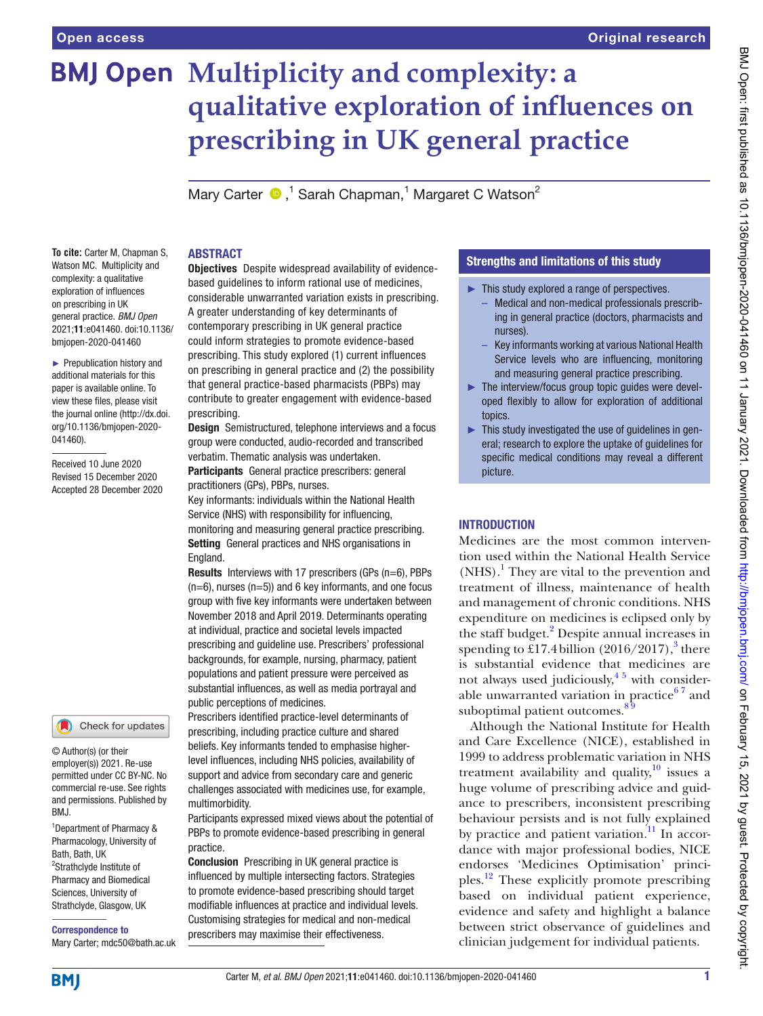# **BMJ Open Multiplicity and complexity: a qualitative exploration of infuences on prescribing in UK general practice**

MaryCarter  $\bigcirc$ ,<sup>1</sup> Sarah Chapman,<sup>1</sup> Margaret C Watson<sup>2</sup>

#### **To cite:** Carter M, Chapman S, Watson MC. Multiplicity and complexity: a qualitative exploration of infuences on prescribing in UK general practice. *BMJ Open* 2021;11:e041460. doi:10.1136/ bmjopen-2020-041460

► Prepublication history and additional materials for this paper is available online. To view these fles, please visit the journal online (http://dx.doi. org/10.1136/bmjopen-2020- 041460).

Received 10 June 2020 Revised 15 December 2020 Accepted 28 December 2020

#### Check for updates

© Author(s) (or their employer(s)) 2021. Re-use permitted under CC BY-NC. No commercial re-use. See rights and permissions. Published by BMJ.

1 Department of Pharmacy & Pharmacology, University of Bath, Bath, UK <sup>2</sup>Strathclyde Institute of Pharmacy and Biomedical Sciences, University of Strathclyde, Glasgow, UK

Correspondence to

Mary Carter; mdc50@bath.ac.uk

## ABSTRACT

Objectives Despite widespread availability of evidencebased guidelines to inform rational use of medicines, considerable unwarranted variation exists in prescribing. A greater understanding of key determinants of contemporary prescribing in UK general practice could inform strategies to promote evidence-based prescribing. This study explored (1) current infuences on prescribing in general practice and (2) the possibility that general practice-based pharmacists (PBPs) may contribute to greater engagement with evidence-based prescribing.

**Design** Semistructured, telephone interviews and a focus group were conducted, audio-recorded and transcribed verbatim. Thematic analysis was undertaken.

Participants General practice prescribers: general practitioners (GPs), PBPs, nurses.

Key informants: individuals within the National Health Service (NHS) with responsibility for infuencing, monitoring and measuring general practice prescribing. Setting General practices and NHS organisations in England.

Results Interviews with 17 prescribers (GPs (n=6), PBPs  $(n=6)$ , nurses  $(n=5)$ ) and 6 key informants, and one focus group with five key informants were undertaken between November 2018 and April 2019. Determinants operating at individual, practice and societal levels impacted prescribing and guideline use. Prescribers' professional backgrounds, for example, nursing, pharmacy, patient populations and patient pressure were perceived as substantial infuences, as well as media portrayal and public perceptions of medicines.

Prescribers identifed practice-level determinants of prescribing, including practice culture and shared beliefs. Key informants tended to emphasise higherlevel infuences, including NHS policies, availability of support and advice from secondary care and generic challenges associated with medicines use, for example, multimorbidity.

Participants expressed mixed views about the potential of PBPs to promote evidence-based prescribing in general practice.

Conclusion Prescribing in UK general practice is infuenced by multiple intersecting factors. Strategies to promote evidence-based prescribing should target modifable infuences at practice and individual levels. Customising strategies for medical and non-medical prescribers may maximise their effectiveness.

# Strengths and limitations of this study

- $\blacktriangleright$  This study explored a range of perspectives.
	- Medical and non-medical professionals prescribing in general practice (doctors, pharmacists and nurses).
	- Key informants working at various National Health Service levels who are infuencing, monitoring and measuring general practice prescribing.
- ► The interview/focus group topic guides were developed fexibly to allow for exploration of additional topics.
- $\blacktriangleright$  This study investigated the use of quidelines in general; research to explore the uptake of guidelines for specific medical conditions may reveal a different picture.

# **INTRODUCTION**

Medicines are the most common intervention used within the National Health Service (NHS).<sup>[1](#page-8-0)</sup> They are vital to the prevention and treatment of illness, maintenance of health and management of chronic conditions. NHS expenditure on medicines is eclipsed only by the staff budget.<sup>[2](#page-8-1)</sup> Despite annual increases in spending to £17.4 billion  $(2016/2017)$ ,<sup>[3](#page-8-2)</sup> there is substantial evidence that medicines are not always used judiciously,  $4^{\frac{5}{5}}$  with considerable unwarranted variation in practice $67$  and suboptimal patient outcomes.<sup>89</sup>

Although the National Institute for Health and Care Excellence (NICE), established in 1999 to address problematic variation in NHS treatment availability and quality, $\frac{10}{10}$  issues a huge volume of prescribing advice and guidance to prescribers, inconsistent prescribing behaviour persists and is not fully explained by practice and patient variation.<sup>[11](#page-8-7)</sup> In accordance with major professional bodies, NICE endorses 'Medicines Optimisation' principles.[12](#page-8-8) These explicitly promote prescribing based on individual patient experience, evidence and safety and highlight a balance between strict observance of guidelines and clinician judgement for individual patients.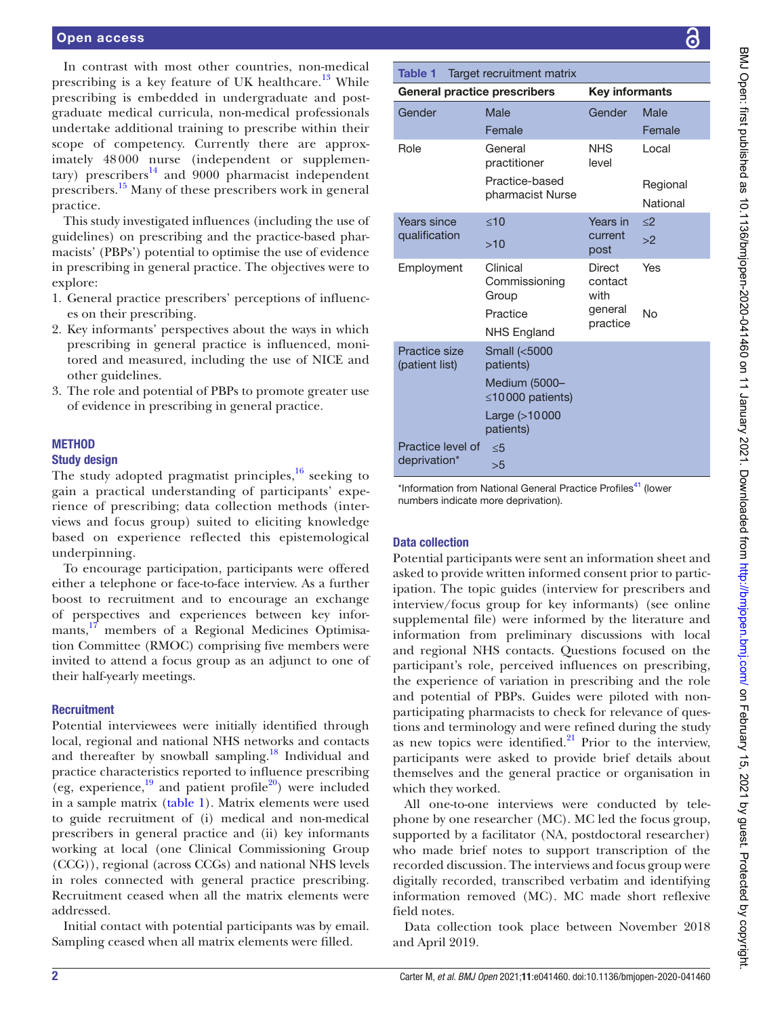In contrast with most other countries, non-medical prescribing is a key feature of UK healthcare. $13$  While prescribing is embedded in undergraduate and postgraduate medical curricula, non-medical professionals undertake additional training to prescribe within their scope of competency. Currently there are approximately 48 000 nurse (independent or supplementary) prescribers $^{14}$  $^{14}$  $^{14}$  and 9000 pharmacist independent prescribers.<sup>[15](#page-8-11)</sup> Many of these prescribers work in general practice.

This study investigated influences (including the use of guidelines) on prescribing and the practice-based pharmacists' (PBPs') potential to optimise the use of evidence in prescribing in general practice. The objectives were to explore:

- 1. General practice prescribers' perceptions of influences on their prescribing.
- 2. Key informants' perspectives about the ways in which prescribing in general practice is influenced, monitored and measured, including the use of NICE and other guidelines.
- 3. The role and potential of PBPs to promote greater use of evidence in prescribing in general practice.

#### **METHOD**

#### Study design

The study adopted pragmatist principles, $^{16}$  $^{16}$  $^{16}$  seeking to gain a practical understanding of participants' experience of prescribing; data collection methods (interviews and focus group) suited to eliciting knowledge based on experience reflected this epistemological underpinning.

To encourage participation, participants were offered either a telephone or face-to-face interview. As a further boost to recruitment and to encourage an exchange of perspectives and experiences between key infor-mants,<sup>[17](#page-8-13)</sup> members of a Regional Medicines Optimisation Committee (RMOC) comprising five members were invited to attend a focus group as an adjunct to one of their half-yearly meetings.

#### **Recruitment**

Potential interviewees were initially identified through local, regional and national NHS networks and contacts and thereafter by snowball sampling.<sup>18</sup> Individual and practice characteristics reported to influence prescribing (eg, experience, $^{19}$  and patient profile<sup>20</sup>) were included in a sample matrix [\(table](#page-1-0) 1). Matrix elements were used to guide recruitment of (i) medical and non-medical prescribers in general practice and (ii) key informants working at local (one Clinical Commissioning Group (CCG)), regional (across CCGs) and national NHS levels in roles connected with general practice prescribing. Recruitment ceased when all the matrix elements were addressed.

Initial contact with potential participants was by email. Sampling ceased when all matrix elements were filled.

<span id="page-1-0"></span>

| <b>Table 1</b>                      | Target recruitment matrix               |                           |                      |  |
|-------------------------------------|-----------------------------------------|---------------------------|----------------------|--|
| <b>General practice prescribers</b> |                                         | <b>Key informants</b>     |                      |  |
| Gender                              | Male<br>Female                          | Gender                    | Male<br>Female       |  |
| Role                                | General<br>practitioner                 | <b>NHS</b><br>level       | Local                |  |
|                                     | Practice-based<br>pharmacist Nurse      |                           | Regional<br>National |  |
| Years since                         | <10                                     | Years in                  | $\langle$            |  |
| qualification                       | >10                                     | current<br>post           | >2                   |  |
| Employment                          | Clinical<br>Commissioning<br>Group      | Direct<br>contact<br>with | Yes                  |  |
|                                     | Practice<br><b>NHS England</b>          | general<br>practice       | No                   |  |
| Practice size<br>(patient list)     | Small (<5000<br>patients)               |                           |                      |  |
|                                     | Medium (5000-<br>$\leq$ 10000 patients) |                           |                      |  |
|                                     | Large (>10000<br>patients)              |                           |                      |  |
| Practice level of<br>deprivation*   | < 5<br>>5                               |                           |                      |  |

\*Information from National General Practice Profiles<sup>41</sup> (lower numbers indicate more deprivation).

#### Data collection

Potential participants were sent an information sheet and asked to provide written informed consent prior to participation. The topic guides (interview for prescribers and interview/focus group for key informants) (see [online](https://dx.doi.org/10.1136/bmjopen-2020-041460)  [supplemental file\)](https://dx.doi.org/10.1136/bmjopen-2020-041460) were informed by the literature and information from preliminary discussions with local and regional NHS contacts. Questions focused on the participant's role, perceived influences on prescribing, the experience of variation in prescribing and the role and potential of PBPs. Guides were piloted with nonparticipating pharmacists to check for relevance of questions and terminology and were refined during the study as new topics were identified. $21$  Prior to the interview, participants were asked to provide brief details about themselves and the general practice or organisation in which they worked.

All one-to-one interviews were conducted by telephone by one researcher (MC). MC led the focus group, supported by a facilitator (NA, postdoctoral researcher) who made brief notes to support transcription of the recorded discussion. The interviews and focus group were digitally recorded, transcribed verbatim and identifying information removed (MC). MC made short reflexive field notes.

Data collection took place between November 2018 and April 2019.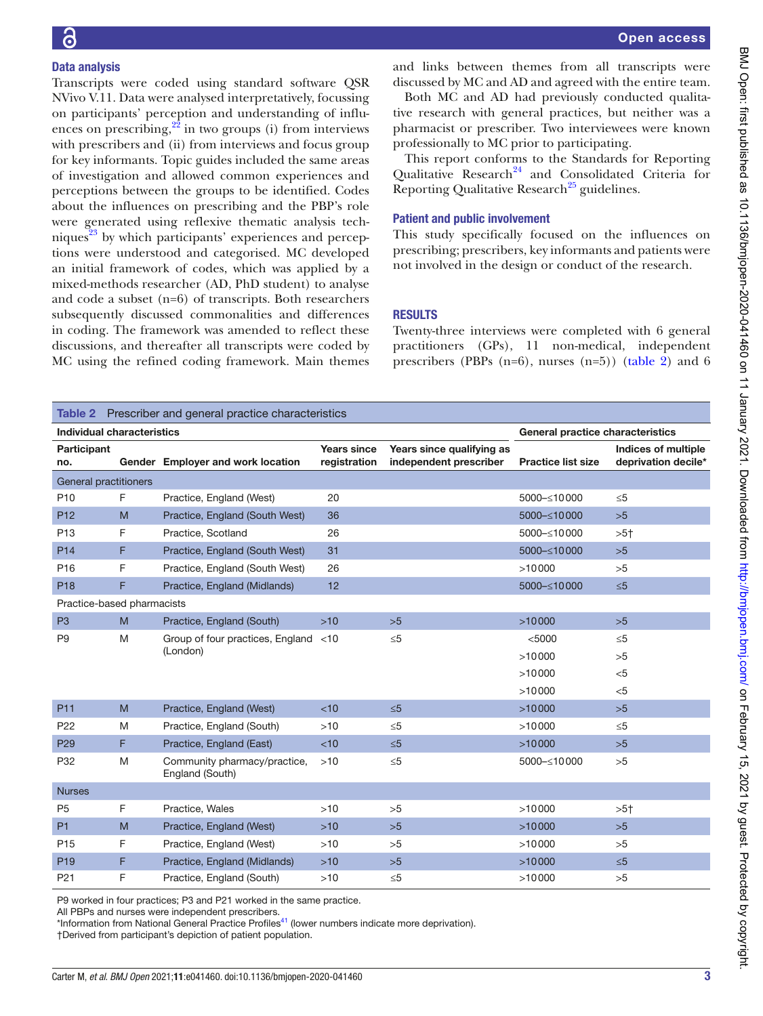## Data analysis

Transcripts were coded using standard software QSR NVivo V.11. Data were analysed interpretatively, focussing on participants' perception and understanding of influences on prescribing, $2^2$  in two groups (i) from interviews with prescribers and (ii) from interviews and focus group for key informants. Topic guides included the same areas of investigation and allowed common experiences and perceptions between the groups to be identified. Codes about the influences on prescribing and the PBP's role were generated using reflexive thematic analysis techniques $^{23}$  by which participants' experiences and perceptions were understood and categorised. MC developed an initial framework of codes, which was applied by a mixed-methods researcher (AD, PhD student) to analyse and code a subset (n=6) of transcripts. Both researchers subsequently discussed commonalities and differences in coding. The framework was amended to reflect these discussions, and thereafter all transcripts were coded by MC using the refined coding framework. Main themes

and links between themes from all transcripts were discussed by MC and AD and agreed with the entire team.

Both MC and AD had previously conducted qualitative research with general practices, but neither was a pharmacist or prescriber. Two interviewees were known professionally to MC prior to participating.

This report conforms to the Standards for Reporting Qualitative Research<sup>[24](#page-8-20)</sup> and Consolidated Criteria for Reporting Qualitative Research<sup>25</sup> guidelines.

#### Patient and public involvement

This study specifically focused on the influences on prescribing; prescribers, key informants and patients were not involved in the design or conduct of the research.

#### **RESULTS**

Twenty-three interviews were completed with 6 general practitioners (GPs), 11 non-medical, independent prescribers (PBPs  $(n=6)$ , nurses  $(n=5)$ ) [\(table](#page-2-0) 2) and 6

<span id="page-2-0"></span>

| <b>Table 2</b> Prescriber and general practice characteristics |    |                                                 |                                    |                                                     |                           |                                                   |  |  |
|----------------------------------------------------------------|----|-------------------------------------------------|------------------------------------|-----------------------------------------------------|---------------------------|---------------------------------------------------|--|--|
| Individual characteristics<br>General practice characteristics |    |                                                 |                                    |                                                     |                           |                                                   |  |  |
| Participant<br>no.                                             |    | Gender Employer and work location               | <b>Years since</b><br>registration | Years since qualifying as<br>independent prescriber | <b>Practice list size</b> | <b>Indices of multiple</b><br>deprivation decile* |  |  |
| General practitioners                                          |    |                                                 |                                    |                                                     |                           |                                                   |  |  |
| P <sub>10</sub>                                                | F. | Practice, England (West)                        | 20                                 |                                                     | 5000-≤10000               | $\leq 5$                                          |  |  |
| P <sub>12</sub>                                                | M  | Practice, England (South West)                  | 36                                 |                                                     | 5000-≤10000               | >5                                                |  |  |
| P <sub>13</sub>                                                | F  | Practice, Scotland                              | 26                                 |                                                     | 5000-≤10000               | $>5+$                                             |  |  |
| P <sub>14</sub>                                                | F  | Practice, England (South West)                  | 31                                 |                                                     | 5000-≤10000               | >5                                                |  |  |
| P <sub>16</sub>                                                | F  | Practice, England (South West)                  | 26                                 |                                                     | >10000                    | >5                                                |  |  |
| P <sub>18</sub>                                                | F  | Practice, England (Midlands)                    | 12                                 |                                                     | 5000-≤10000               | $\leq 5$                                          |  |  |
| Practice-based pharmacists                                     |    |                                                 |                                    |                                                     |                           |                                                   |  |  |
| P <sub>3</sub>                                                 | M  | Practice, England (South)                       | $>10$                              | >5                                                  | >10000                    | >5                                                |  |  |
| P <sub>9</sub><br>M                                            |    | Group of four practices, England                | $<$ 10                             | $\leq 5$                                            | < 5000                    | $\leq 5$                                          |  |  |
|                                                                |    | (London)                                        |                                    |                                                     | >10000                    | >5                                                |  |  |
|                                                                |    |                                                 |                                    |                                                     | >10000                    | < 5                                               |  |  |
|                                                                |    |                                                 |                                    |                                                     | >10000                    | $<$ 5                                             |  |  |
| <b>P11</b>                                                     | M  | Practice, England (West)                        | <10                                | $\leq 5$                                            | >10000                    | >5                                                |  |  |
| P <sub>22</sub>                                                | M  | Practice, England (South)                       | $>10$                              | $\leq 5$                                            | >10000                    | $\leq 5$                                          |  |  |
| P <sub>29</sub>                                                | F  | Practice, England (East)                        | < 10                               | $\leq 5$                                            | >10000                    | >5                                                |  |  |
| P32                                                            | M  | Community pharmacy/practice,<br>England (South) | >10                                | $\leq 5$                                            | 5000-≤10000               | >5                                                |  |  |
| <b>Nurses</b>                                                  |    |                                                 |                                    |                                                     |                           |                                                   |  |  |
| P <sub>5</sub>                                                 | F  | Practice, Wales                                 | >10                                | >5                                                  | >10000                    | $>5^{+}$                                          |  |  |
| P1                                                             | M  | Practice, England (West)                        | $>10$                              | >5                                                  | >10000                    | >5                                                |  |  |
| P <sub>15</sub>                                                | F  | Practice, England (West)                        | $>10$                              | >5                                                  | >10000                    | >5                                                |  |  |
| P <sub>19</sub>                                                | F  | Practice, England (Midlands)                    | $>10$                              | >5                                                  | >10000                    | $\leq 5$                                          |  |  |
| P <sub>21</sub>                                                | F  | Practice, England (South)                       | $>10$                              | $\leq 5$                                            | >10000                    | >5                                                |  |  |

P9 worked in four practices; P3 and P21 worked in the same practice.

All PBPs and nurses were independent prescribers.

\*Information from National General Practice Profiles<sup>41</sup> (lower numbers indicate more deprivation).

†Derived from participant's depiction of patient population.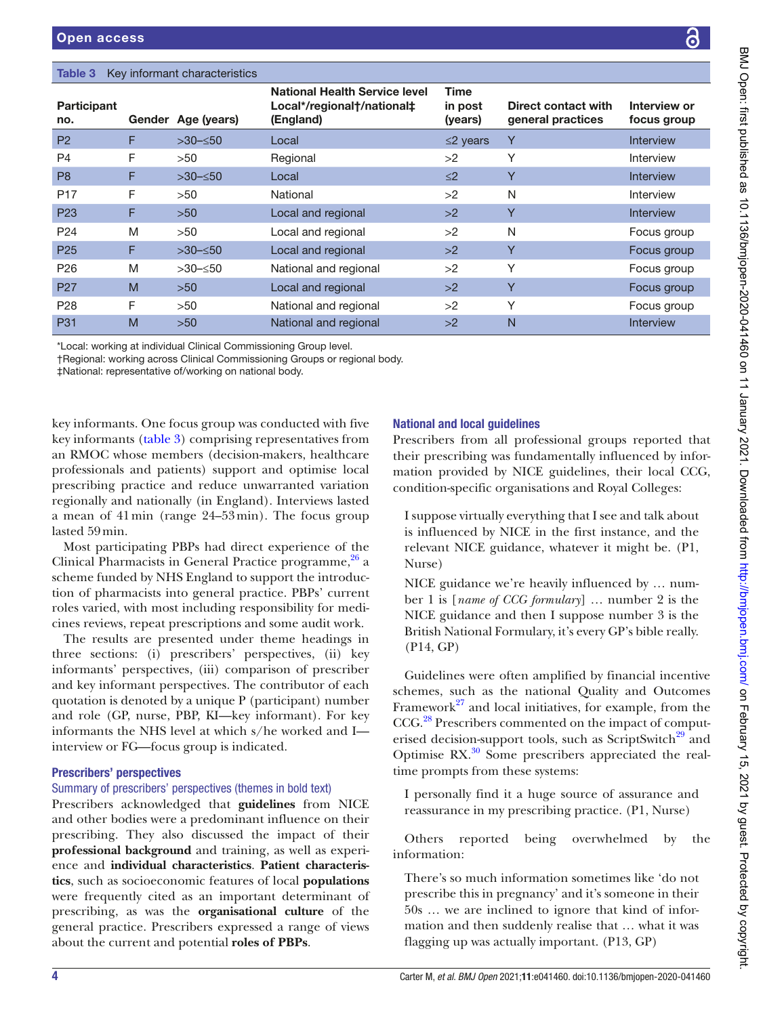#### <span id="page-3-0"></span>Table 3 Key informant characteristics

| <b>Participant</b><br>no. |   | Gender Age (years) | <b>National Health Service level</b><br>Local*/regional†/national‡<br>(England) | Time<br>in post<br>(years) | Direct contact with<br>general practices | Interview or<br>focus group |
|---------------------------|---|--------------------|---------------------------------------------------------------------------------|----------------------------|------------------------------------------|-----------------------------|
| <b>P2</b>                 | F | $>30$ $\leq 50$    | Local                                                                           | $\leq$ 2 years             | Y                                        | <b>Interview</b>            |
| P4                        | F | >50                | Regional                                                                        | >2                         | Υ                                        | <b>Interview</b>            |
| P <sub>8</sub>            | F | $>30$ $\leq 50$    | Local                                                                           | $\leq$ 2                   | Y                                        | <b>Interview</b>            |
| P <sub>17</sub>           | F | >50                | National                                                                        | >2                         | N                                        | <b>Interview</b>            |
| P <sub>23</sub>           | F | $>50$              | Local and regional                                                              | >2                         | Y                                        | <b>Interview</b>            |
| P <sub>24</sub>           | M | >50                | Local and regional                                                              | >2                         | N                                        | Focus group                 |
| P <sub>25</sub>           | F | $>30$ $\leq 50$    | Local and regional                                                              | >2                         | Y                                        | Focus group                 |
| P <sub>26</sub>           | M | $>30$ - $\leq 50$  | National and regional                                                           | >2                         | Y                                        | Focus group                 |
| P <sub>27</sub>           | M | $>50$              | Local and regional                                                              | >2                         | Y                                        | Focus group                 |
| P <sub>28</sub>           | F | >50                | National and regional                                                           | >2                         | Υ                                        | Focus group                 |
| <b>P31</b>                | M | $>50$              | National and regional                                                           | >2                         | N                                        | <b>Interview</b>            |

\*Local: working at individual Clinical Commissioning Group level.

†Regional: working across Clinical Commissioning Groups or regional body.

‡National: representative of/working on national body.

key informants. One focus group was conducted with five key informants [\(table](#page-3-0) 3) comprising representatives from an RMOC whose members (decision-makers, healthcare professionals and patients) support and optimise local prescribing practice and reduce unwarranted variation regionally and nationally (in England). Interviews lasted a mean of 41min (range 24–53min). The focus group lasted 59min.

Most participating PBPs had direct experience of the Clinical Pharmacists in General Practice programme, $^{26}$  a scheme funded by NHS England to support the introduction of pharmacists into general practice. PBPs' current roles varied, with most including responsibility for medicines reviews, repeat prescriptions and some audit work.

The results are presented under theme headings in three sections: (i) prescribers' perspectives, (ii) key informants' perspectives, (iii) comparison of prescriber and key informant perspectives. The contributor of each quotation is denoted by a unique P (participant) number and role (GP, nurse, PBP, KI—key informant). For key informants the NHS level at which s/he worked and I interview or FG—focus group is indicated.

#### Prescribers' perspectives

#### Summary of prescribers' perspectives (themes in bold text)

Prescribers acknowledged that **guidelines** from NICE and other bodies were a predominant influence on their prescribing. They also discussed the impact of their **professional background** and training, as well as experience and **individual characteristics**. **Patient characteristics**, such as socioeconomic features of local **populations** were frequently cited as an important determinant of prescribing, as was the **organisational culture** of the general practice. Prescribers expressed a range of views about the current and potential **roles of PBPs**.

# National and local guidelines

Prescribers from all professional groups reported that their prescribing was fundamentally influenced by information provided by NICE guidelines, their local CCG, condition-specific organisations and Royal Colleges:

I suppose virtually everything that I see and talk about is influenced by NICE in the first instance, and the relevant NICE guidance, whatever it might be. (P1, Nurse)

NICE guidance we're heavily influenced by … number 1 is [*name of CCG formulary*] … number 2 is the NICE guidance and then I suppose number 3 is the British National Formulary, it's every GP's bible really. (P14, GP)

Guidelines were often amplified by financial incentive schemes, such as the national Quality and Outcomes Framework<sup>27</sup> and local initiatives, for example, from the CCG[.28](#page-8-24) Prescribers commented on the impact of computerised decision-support tools, such as ScriptSwitch<sup>29</sup> and Optimise  $RX^{30}$  Some prescribers appreciated the realtime prompts from these systems:

I personally find it a huge source of assurance and reassurance in my prescribing practice. (P1, Nurse)

Others reported being overwhelmed by the information:

There's so much information sometimes like 'do not prescribe this in pregnancy' and it's someone in their 50s … we are inclined to ignore that kind of information and then suddenly realise that … what it was flagging up was actually important. (P13, GP)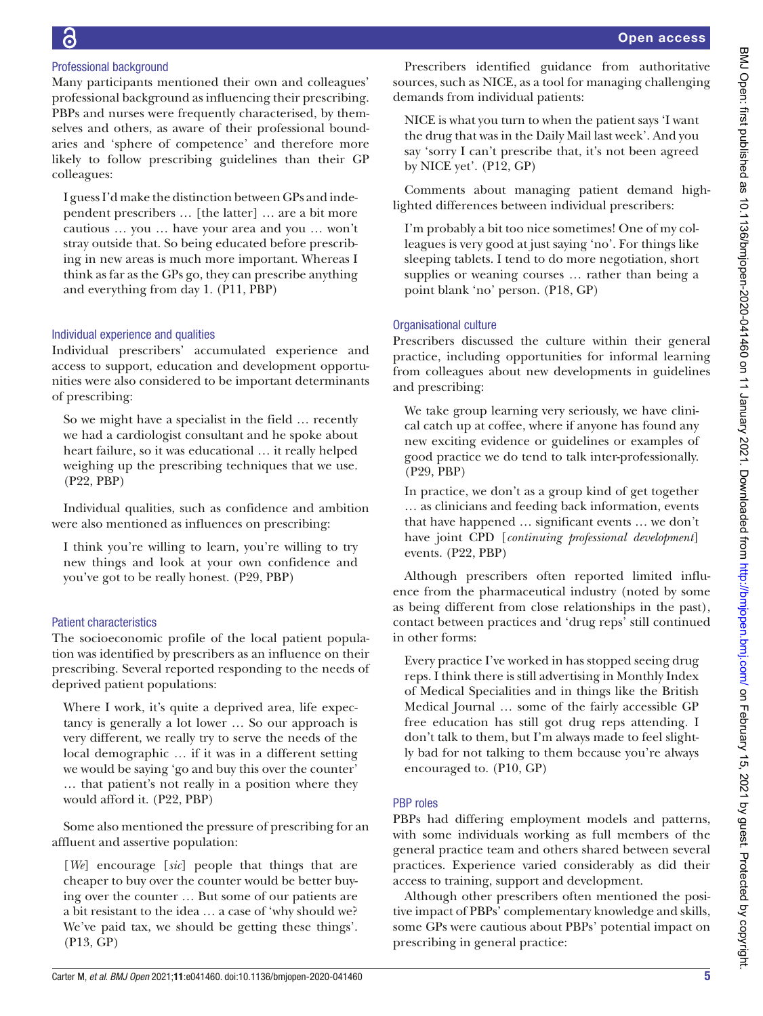# Professional background

Many participants mentioned their own and colleagues' professional background as influencing their prescribing. PBPs and nurses were frequently characterised, by themselves and others, as aware of their professional boundaries and 'sphere of competence' and therefore more likely to follow prescribing guidelines than their GP colleagues:

I guess I'd make the distinction between GPs and independent prescribers … [the latter] … are a bit more cautious … you … have your area and you … won't stray outside that. So being educated before prescribing in new areas is much more important. Whereas I think as far as the GPs go, they can prescribe anything and everything from day 1. (P11, PBP)

# Individual experience and qualities

Individual prescribers' accumulated experience and access to support, education and development opportunities were also considered to be important determinants of prescribing:

So we might have a specialist in the field … recently we had a cardiologist consultant and he spoke about heart failure, so it was educational … it really helped weighing up the prescribing techniques that we use. (P22, PBP)

Individual qualities, such as confidence and ambition were also mentioned as influences on prescribing:

I think you're willing to learn, you're willing to try new things and look at your own confidence and you've got to be really honest. (P29, PBP)

# Patient characteristics

The socioeconomic profile of the local patient population was identified by prescribers as an influence on their prescribing. Several reported responding to the needs of deprived patient populations:

Where I work, it's quite a deprived area, life expectancy is generally a lot lower *…* So our approach is very different, we really try to serve the needs of the local demographic *…* if it was in a different setting we would be saying 'go and buy this over the counter' … that patient's not really in a position where they would afford it. (P22, PBP)

Some also mentioned the pressure of prescribing for an affluent and assertive population:

[*We*] encourage [*sic*] people that things that are cheaper to buy over the counter would be better buying over the counter … But some of our patients are a bit resistant to the idea … a case of 'why should we? We've paid tax, we should be getting these things'. (P13, GP)

Prescribers identified guidance from authoritative sources, such as NICE, as a tool for managing challenging demands from individual patients:

NICE is what you turn to when the patient says 'I want the drug that was in the Daily Mail last week'. And you say 'sorry I can't prescribe that, it's not been agreed by NICE yet'. (P12, GP)

Comments about managing patient demand highlighted differences between individual prescribers:

I'm probably a bit too nice sometimes! One of my colleagues is very good at just saying 'no'. For things like sleeping tablets. I tend to do more negotiation, short supplies or weaning courses … rather than being a point blank 'no' person. (P18, GP)

# Organisational culture

Prescribers discussed the culture within their general practice, including opportunities for informal learning from colleagues about new developments in guidelines and prescribing:

We take group learning very seriously, we have clinical catch up at coffee, where if anyone has found any new exciting evidence or guidelines or examples of good practice we do tend to talk inter-professionally. (P29, PBP)

In practice, we don't as a group kind of get together … as clinicians and feeding back information, events that have happened … significant events … we don't have joint CPD [*continuing professional development*] events. (P22, PBP)

Although prescribers often reported limited influence from the pharmaceutical industry (noted by some as being different from close relationships in the past), contact between practices and 'drug reps' still continued in other forms:

Every practice I've worked in has stopped seeing drug reps. I think there is still advertising in Monthly Index of Medical Specialities and in things like the British Medical Journal … some of the fairly accessible GP free education has still got drug reps attending. I don't talk to them, but I'm always made to feel slightly bad for not talking to them because you're always encouraged to. (P10, GP)

# PBP roles

PBPs had differing employment models and patterns, with some individuals working as full members of the general practice team and others shared between several practices. Experience varied considerably as did their access to training, support and development.

Although other prescribers often mentioned the positive impact of PBPs' complementary knowledge and skills, some GPs were cautious about PBPs' potential impact on prescribing in general practice: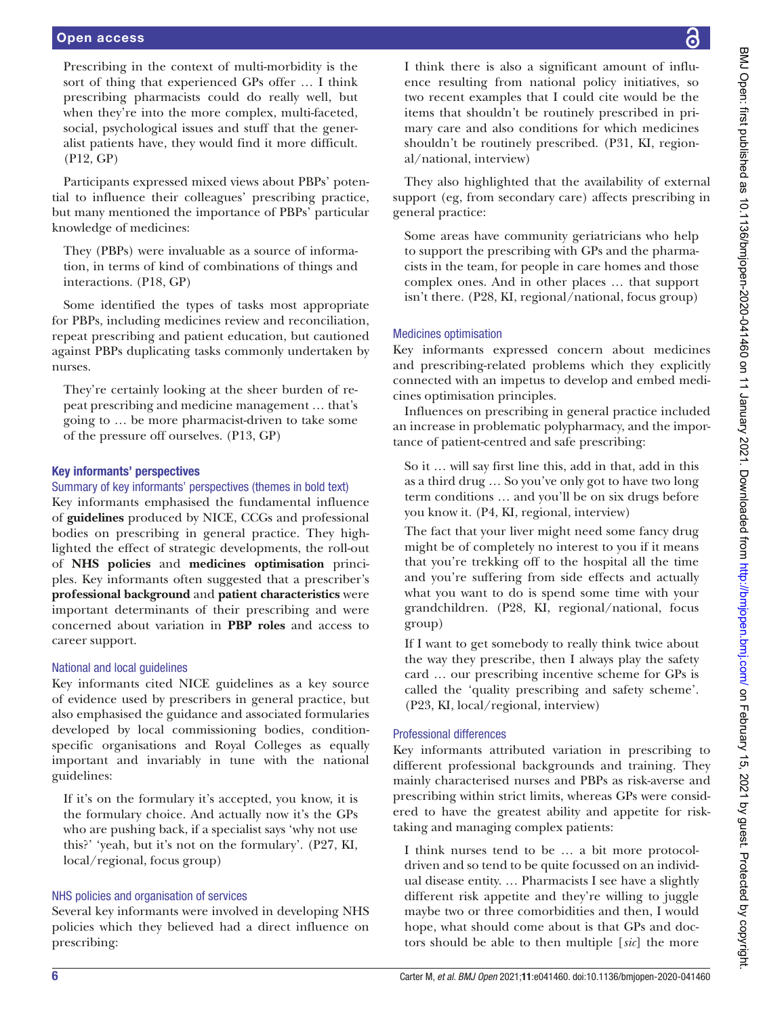Prescribing in the context of multi-morbidity is the sort of thing that experienced GPs offer … I think prescribing pharmacists could do really well, but when they're into the more complex, multi-faceted, social, psychological issues and stuff that the generalist patients have, they would find it more difficult. (P12, GP)

Participants expressed mixed views about PBPs' potential to influence their colleagues' prescribing practice, but many mentioned the importance of PBPs' particular knowledge of medicines:

They (PBPs) were invaluable as a source of information, in terms of kind of combinations of things and interactions. (P18, GP)

Some identified the types of tasks most appropriate for PBPs, including medicines review and reconciliation, repeat prescribing and patient education, but cautioned against PBPs duplicating tasks commonly undertaken by nurses.

They're certainly looking at the sheer burden of repeat prescribing and medicine management … that's going to … be more pharmacist-driven to take some of the pressure off ourselves. (P13, GP)

#### Key informants' perspectives

#### Summary of key informants' perspectives (themes in bold text)

Key informants emphasised the fundamental influence of **guidelines** produced by NICE, CCGs and professional bodies on prescribing in general practice. They highlighted the effect of strategic developments, the roll-out of **NHS policies** and **medicines optimisation** principles. Key informants often suggested that a prescriber's **professional background** and **patient characteristics** were important determinants of their prescribing and were concerned about variation in **PBP roles** and access to career support.

#### National and local guidelines

Key informants cited NICE guidelines as a key source of evidence used by prescribers in general practice, but also emphasised the guidance and associated formularies developed by local commissioning bodies, conditionspecific organisations and Royal Colleges as equally important and invariably in tune with the national guidelines:

If it's on the formulary it's accepted, you know, it is the formulary choice. And actually now it's the GPs who are pushing back, if a specialist says 'why not use this?' 'yeah, but it's not on the formulary'. (P27, KI, local/regional, focus group)

#### NHS policies and organisation of services

Several key informants were involved in developing NHS policies which they believed had a direct influence on prescribing:

I think there is also a significant amount of influence resulting from national policy initiatives, so two recent examples that I could cite would be the items that shouldn't be routinely prescribed in primary care and also conditions for which medicines shouldn't be routinely prescribed. (P31, KI, regional/national, interview)

They also highlighted that the availability of external support (eg, from secondary care) affects prescribing in general practice:

Some areas have community geriatricians who help to support the prescribing with GPs and the pharmacists in the team, for people in care homes and those complex ones. And in other places … that support isn't there. (P28, KI, regional/national, focus group)

# Medicines optimisation

Key informants expressed concern about medicines and prescribing-related problems which they explicitly connected with an impetus to develop and embed medicines optimisation principles.

Influences on prescribing in general practice included an increase in problematic polypharmacy, and the importance of patient-centred and safe prescribing:

So it … will say first line this, add in that, add in this as a third drug … So you've only got to have two long term conditions … and you'll be on six drugs before you know it. (P4, KI, regional, interview)

The fact that your liver might need some fancy drug might be of completely no interest to you if it means that you're trekking off to the hospital all the time and you're suffering from side effects and actually what you want to do is spend some time with your grandchildren. (P28, KI, regional/national, focus group)

If I want to get somebody to really think twice about the way they prescribe, then I always play the safety card … our prescribing incentive scheme for GPs is called the 'quality prescribing and safety scheme'. (P23, KI, local/regional, interview)

#### Professional differences

Key informants attributed variation in prescribing to different professional backgrounds and training. They mainly characterised nurses and PBPs as risk-averse and prescribing within strict limits, whereas GPs were considered to have the greatest ability and appetite for risktaking and managing complex patients:

I think nurses tend to be … a bit more protocoldriven and so tend to be quite focussed on an individual disease entity. … Pharmacists I see have a slightly different risk appetite and they're willing to juggle maybe two or three comorbidities and then, I would hope, what should come about is that GPs and doctors should be able to then multiple [*sic*] the more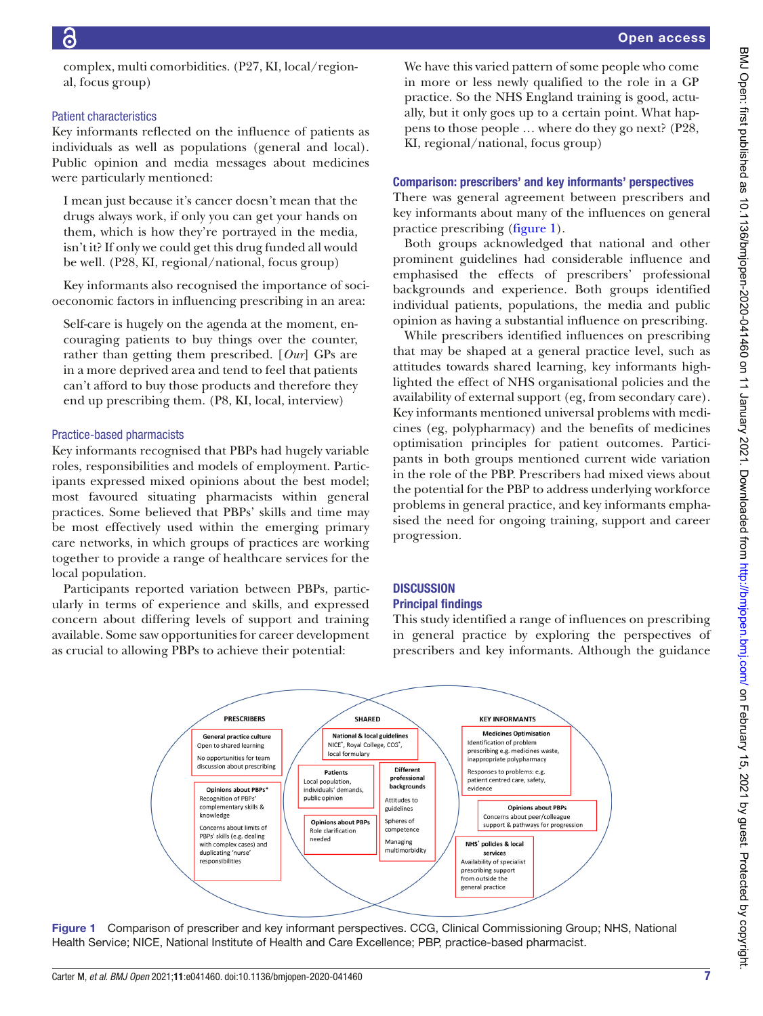complex, multi comorbidities. (P27, KI, local/regional, focus group)

## Patient characteristics

Key informants reflected on the influence of patients as individuals as well as populations (general and local). Public opinion and media messages about medicines were particularly mentioned:

I mean just because it's cancer doesn't mean that the drugs always work, if only you can get your hands on them, which is how they're portrayed in the media, isn't it? If only we could get this drug funded all would be well. (P28, KI, regional/national, focus group)

Key informants also recognised the importance of socioeconomic factors in influencing prescribing in an area:

Self-care is hugely on the agenda at the moment, encouraging patients to buy things over the counter, rather than getting them prescribed. [*Our*] GPs are in a more deprived area and tend to feel that patients can't afford to buy those products and therefore they end up prescribing them. (P8, KI, local, interview)

# Practice-based pharmacists

Key informants recognised that PBPs had hugely variable roles, responsibilities and models of employment. Participants expressed mixed opinions about the best model; most favoured situating pharmacists within general practices. Some believed that PBPs' skills and time may be most effectively used within the emerging primary care networks, in which groups of practices are working together to provide a range of healthcare services for the local population.

Participants reported variation between PBPs, particularly in terms of experience and skills, and expressed concern about differing levels of support and training available. Some saw opportunities for career development as crucial to allowing PBPs to achieve their potential:

We have this varied pattern of some people who come in more or less newly qualified to the role in a GP practice. So the NHS England training is good, actually, but it only goes up to a certain point. What happens to those people … where do they go next? (P28, KI, regional/national, focus group)

# Comparison: prescribers' and key informants' perspectives

There was general agreement between prescribers and key informants about many of the influences on general practice prescribing ([figure](#page-6-0) 1).

Both groups acknowledged that national and other prominent guidelines had considerable influence and emphasised the effects of prescribers' professional backgrounds and experience. Both groups identified individual patients, populations, the media and public opinion as having a substantial influence on prescribing.

While prescribers identified influences on prescribing that may be shaped at a general practice level, such as attitudes towards shared learning, key informants highlighted the effect of NHS organisational policies and the availability of external support (eg, from secondary care). Key informants mentioned universal problems with medicines (eg, polypharmacy) and the benefits of medicines optimisation principles for patient outcomes. Participants in both groups mentioned current wide variation in the role of the PBP. Prescribers had mixed views about the potential for the PBP to address underlying workforce problems in general practice, and key informants emphasised the need for ongoing training, support and career progression.

# **DISCUSSION Principal findings**

This study identified a range of influences on prescribing in general practice by exploring the perspectives of prescribers and key informants. Although the guidance



<span id="page-6-0"></span>Figure 1 Comparison of prescriber and key informant perspectives. CCG, Clinical Commissioning Group; NHS, National Health Service; NICE, National Institute of Health and Care Excellence; PBP, practice-based pharmacist.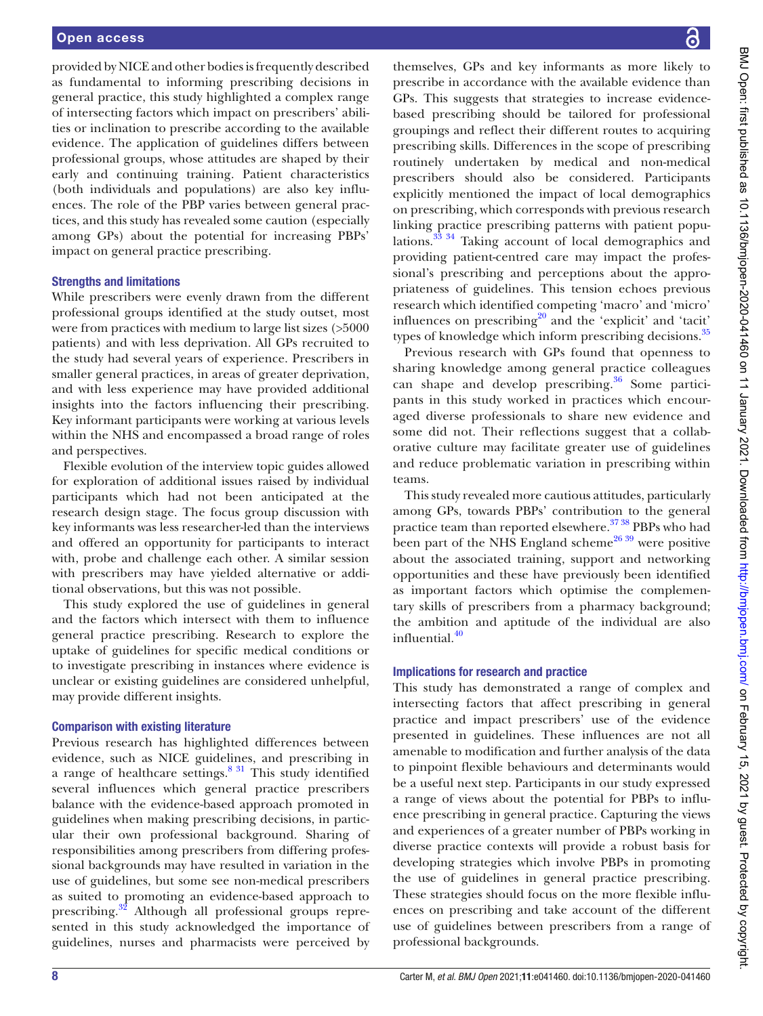provided by NICE and other bodies is frequently described as fundamental to informing prescribing decisions in general practice, this study highlighted a complex range of intersecting factors which impact on prescribers' abilities or inclination to prescribe according to the available evidence. The application of guidelines differs between professional groups, whose attitudes are shaped by their early and continuing training. Patient characteristics (both individuals and populations) are also key influences. The role of the PBP varies between general practices, and this study has revealed some caution (especially among GPs) about the potential for increasing PBPs' impact on general practice prescribing.

#### Strengths and limitations

While prescribers were evenly drawn from the different professional groups identified at the study outset, most were from practices with medium to large list sizes (>5000 patients) and with less deprivation. All GPs recruited to the study had several years of experience. Prescribers in smaller general practices, in areas of greater deprivation, and with less experience may have provided additional insights into the factors influencing their prescribing. Key informant participants were working at various levels within the NHS and encompassed a broad range of roles and perspectives.

Flexible evolution of the interview topic guides allowed for exploration of additional issues raised by individual participants which had not been anticipated at the research design stage. The focus group discussion with key informants was less researcher-led than the interviews and offered an opportunity for participants to interact with, probe and challenge each other. A similar session with prescribers may have yielded alternative or additional observations, but this was not possible.

This study explored the use of guidelines in general and the factors which intersect with them to influence general practice prescribing. Research to explore the uptake of guidelines for specific medical conditions or to investigate prescribing in instances where evidence is unclear or existing guidelines are considered unhelpful, may provide different insights.

#### Comparison with existing literature

Previous research has highlighted differences between evidence, such as NICE guidelines, and prescribing in a range of healthcare settings. $831$  This study identified several influences which general practice prescribers balance with the evidence-based approach promoted in guidelines when making prescribing decisions, in particular their own professional background. Sharing of responsibilities among prescribers from differing professional backgrounds may have resulted in variation in the use of guidelines, but some see non-medical prescribers as suited to promoting an evidence-based approach to prescribing.<sup>[32](#page-8-27)</sup> Although all professional groups represented in this study acknowledged the importance of guidelines, nurses and pharmacists were perceived by

themselves, GPs and key informants as more likely to prescribe in accordance with the available evidence than GPs. This suggests that strategies to increase evidencebased prescribing should be tailored for professional groupings and reflect their different routes to acquiring prescribing skills. Differences in the scope of prescribing routinely undertaken by medical and non-medical prescribers should also be considered. Participants explicitly mentioned the impact of local demographics on prescribing, which corresponds with previous research linking practice prescribing patterns with patient populations.[33 34](#page-8-28) Taking account of local demographics and providing patient-centred care may impact the professional's prescribing and perceptions about the appropriateness of guidelines. This tension echoes previous research which identified competing 'macro' and 'micro' influences on prescribing<sup>20</sup> and the 'explicit' and 'tacit' types of knowledge which inform prescribing decisions.<sup>[35](#page-9-1)</sup>

Previous research with GPs found that openness to sharing knowledge among general practice colleagues can shape and develop prescribing.<sup>[36](#page-9-2)</sup> Some participants in this study worked in practices which encouraged diverse professionals to share new evidence and some did not. Their reflections suggest that a collaborative culture may facilitate greater use of guidelines and reduce problematic variation in prescribing within teams.

This study revealed more cautious attitudes, particularly among GPs, towards PBPs' contribution to the general practice team than reported elsewhere.<sup>37 38</sup> PBPs who had been part of the NHS England scheme<sup>26 39</sup> were positive about the associated training, support and networking opportunities and these have previously been identified as important factors which optimise the complementary skills of prescribers from a pharmacy background; the ambition and aptitude of the individual are also influential.<sup>[40](#page-9-4)</sup>

#### Implications for research and practice

This study has demonstrated a range of complex and intersecting factors that affect prescribing in general practice and impact prescribers' use of the evidence presented in guidelines. These influences are not all amenable to modification and further analysis of the data to pinpoint flexible behaviours and determinants would be a useful next step. Participants in our study expressed a range of views about the potential for PBPs to influence prescribing in general practice. Capturing the views and experiences of a greater number of PBPs working in diverse practice contexts will provide a robust basis for developing strategies which involve PBPs in promoting the use of guidelines in general practice prescribing. These strategies should focus on the more flexible influences on prescribing and take account of the different use of guidelines between prescribers from a range of professional backgrounds.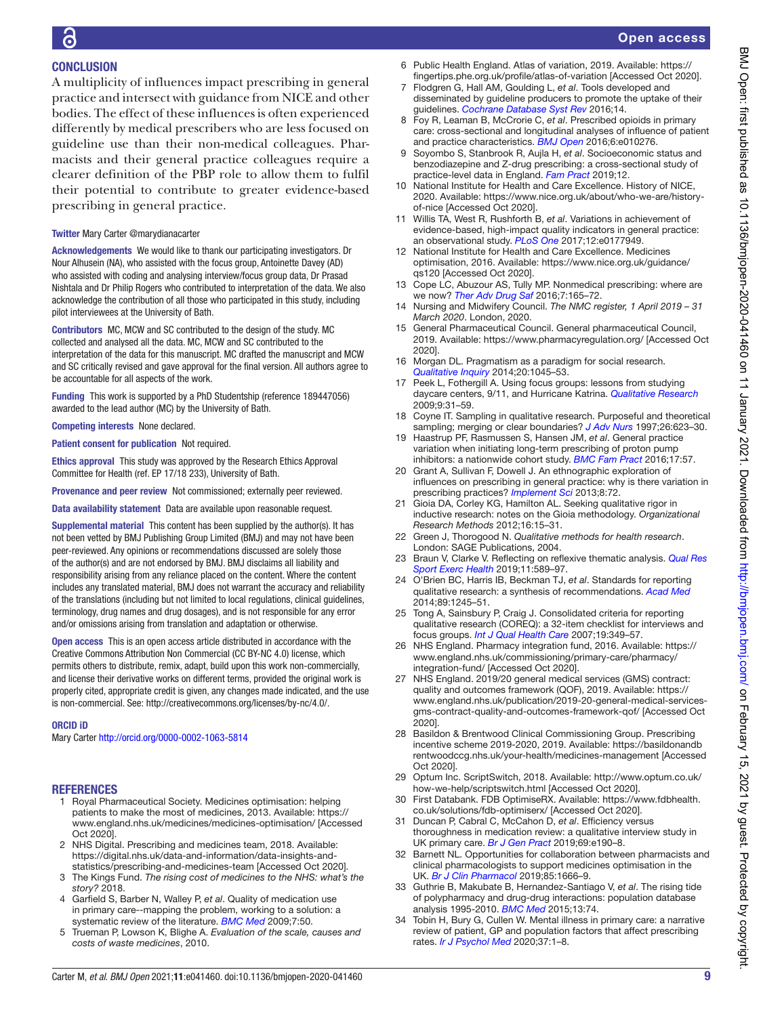# **CONCLUSION**

A multiplicity of influences impact prescribing in general practice and intersect with guidance from NICE and other bodies. The effect of these influences is often experienced differently by medical prescribers who are less focused on guideline use than their non-medical colleagues. Pharmacists and their general practice colleagues require a clearer definition of the PBP role to allow them to fulfil their potential to contribute to greater evidence-based prescribing in general practice.

#### Twitter Mary Carter [@marydianacarter](https://twitter.com/marydianacarter)

Acknowledgements We would like to thank our participating investigators. Dr Nour Alhusein (NA), who assisted with the focus group, Antoinette Davey (AD) who assisted with coding and analysing interview/focus group data, Dr Prasad Nishtala and Dr Philip Rogers who contributed to interpretation of the data. We also acknowledge the contribution of all those who participated in this study, including pilot interviewees at the University of Bath.

Contributors MC, MCW and SC contributed to the design of the study. MC collected and analysed all the data. MC, MCW and SC contributed to the interpretation of the data for this manuscript. MC drafted the manuscript and MCW and SC critically revised and gave approval for the final version. All authors agree to be accountable for all aspects of the work.

Funding This work is supported by a PhD Studentship (reference 189447056) awarded to the lead author (MC) by the University of Bath.

Competing interests None declared.

Patient consent for publication Not required.

Ethics approval This study was approved by the Research Ethics Approval Committee for Health (ref. EP 17/18 233), University of Bath.

Provenance and peer review Not commissioned; externally peer reviewed.

Data availability statement Data are available upon reasonable request.

Supplemental material This content has been supplied by the author(s). It has not been vetted by BMJ Publishing Group Limited (BMJ) and may not have been peer-reviewed. Any opinions or recommendations discussed are solely those of the author(s) and are not endorsed by BMJ. BMJ disclaims all liability and responsibility arising from any reliance placed on the content. Where the content includes any translated material, BMJ does not warrant the accuracy and reliability of the translations (including but not limited to local regulations, clinical guidelines, terminology, drug names and drug dosages), and is not responsible for any error and/or omissions arising from translation and adaptation or otherwise.

Open access This is an open access article distributed in accordance with the Creative Commons Attribution Non Commercial (CC BY-NC 4.0) license, which permits others to distribute, remix, adapt, build upon this work non-commercially, and license their derivative works on different terms, provided the original work is properly cited, appropriate credit is given, any changes made indicated, and the use is non-commercial. See: [http://creativecommons.org/licenses/by-nc/4.0/.](http://creativecommons.org/licenses/by-nc/4.0/)

#### ORCID iD

Mary Carter<http://orcid.org/0000-0002-1063-5814>

#### REFERENCES

- <span id="page-8-0"></span>1 Royal Pharmaceutical Society. Medicines optimisation: helping patients to make the most of medicines, 2013. Available: [https://](https://www.england.nhs.uk/medicines/medicines-optimisation/) [www.england.nhs.uk/medicines/medicines-optimisation/](https://www.england.nhs.uk/medicines/medicines-optimisation/) [Accessed Oct 2020].
- <span id="page-8-1"></span>2 NHS Digital. Prescribing and medicines team, 2018. Available: [https://digital.nhs.uk/data-and-information/data-insights-and](https://digital.nhs.uk/data-and-information/data-insights-and-statistics/prescribing-and-medicines-team)[statistics/prescribing-and-medicines-team](https://digital.nhs.uk/data-and-information/data-insights-and-statistics/prescribing-and-medicines-team) [Accessed Oct 2020].
- <span id="page-8-2"></span>3 The Kings Fund. *The rising cost of medicines to the NHS: what's the story?* 2018.
- <span id="page-8-3"></span>4 Garfeld S, Barber N, Walley P, *et al*. Quality of medication use in primary care--mapping the problem, working to a solution: a systematic review of the literature. *[BMC Med](http://dx.doi.org/10.1186/1741-7015-7-50)* 2009;7:50.
- 5 Trueman P, Lowson K, Blighe A. *Evaluation of the scale, causes and costs of waste medicines*, 2010.
- <span id="page-8-4"></span>6 Public Health England. Atlas of variation, 2019. Available: [https://](https://fingertips.phe.org.uk/profile/atlas-of-variation) fingertips.phe.org.uk/profile/atlas-of-variation [Accessed Oct 2020].
- 7 Flodgren G, Hall AM, Goulding L, *et al*. Tools developed and disseminated by guideline producers to promote the uptake of their guidelines. *[Cochrane Database Syst Rev](http://dx.doi.org/10.1002/14651858.CD010669.pub2)* 2016;14.
- <span id="page-8-5"></span>8 Foy R, Leaman B, McCrorie C, *et al*. Prescribed opioids in primary care: cross-sectional and longitudinal analyses of infuence of patient and practice characteristics. *[BMJ Open](http://dx.doi.org/10.1136/bmjopen-2015-010276)* 2016;6:e010276.
- 9 Soyombo S, Stanbrook R, Aujla H, *et al*. Socioeconomic status and benzodiazepine and Z-drug prescribing: a cross-sectional study of practice-level data in England. *[Fam Pract](http://dx.doi.org/10.1093/fampra/cmz054)* 2019;12.
- <span id="page-8-6"></span>10 National Institute for Health and Care Excellence. History of NICE, 2020. Available: [https://www.nice.org.uk/about/who-we-are/history](https://www.nice.org.uk/about/who-we-are/history-of-nice)[of-nice](https://www.nice.org.uk/about/who-we-are/history-of-nice) [Accessed Oct 2020].
- <span id="page-8-7"></span>11 Willis TA, West R, Rushforth B, *et al*. Variations in achievement of evidence-based, high-impact quality indicators in general practice: an observational study. *[PLoS One](http://dx.doi.org/10.1371/journal.pone.0177949)* 2017;12:e0177949.
- <span id="page-8-8"></span>12 National Institute for Health and Care Excellence. Medicines optimisation, 2016. Available: [https://www.nice.org.uk/guidance/](https://www.nice.org.uk/guidance/qs120) [qs120](https://www.nice.org.uk/guidance/qs120) [Accessed Oct 2020].
- <span id="page-8-9"></span>13 Cope LC, Abuzour AS, Tully MP. Nonmedical prescribing: where are we now? *[Ther Adv Drug Saf](http://dx.doi.org/10.1177/2042098616646726)* 2016;7:165–72.
- <span id="page-8-10"></span>14 Nursing and Midwifery Council. *The NMC register, 1 April 2019 – 31 March 2020*. London, 2020.
- <span id="page-8-11"></span>15 General Pharmaceutical Council. General pharmaceutical Council, 2019. Available: <https://www.pharmacyregulation.org/>[Accessed Oct 2020].
- <span id="page-8-12"></span>16 Morgan DL. Pragmatism as a paradigm for social research. *[Qualitative Inquiry](http://dx.doi.org/10.1177/1077800413513733)* 2014;20:1045–53.
- <span id="page-8-13"></span>17 Peek L, Fothergill A. Using focus groups: lessons from studying daycare centers, 9/11, and Hurricane Katrina. *[Qualitative Research](http://dx.doi.org/10.1177/1468794108098029)* 2009;9:31–59.
- <span id="page-8-14"></span>18 Coyne IT. Sampling in qualitative research. Purposeful and theoretical sampling; merging or clear boundaries? *[J Adv Nurs](http://dx.doi.org/10.1046/j.1365-2648.1997.t01-25-00999.x)* 1997;26:623–30.
- <span id="page-8-15"></span>19 Haastrup PF, Rasmussen S, Hansen JM, *et al*. General practice variation when initiating long-term prescribing of proton pump inhibitors: a nationwide cohort study. *[BMC Fam Pract](http://dx.doi.org/10.1186/s12875-016-0460-9)* 2016;17:57.
- <span id="page-8-16"></span>20 Grant A, Sullivan F, Dowell J. An ethnographic exploration of infuences on prescribing in general practice: why is there variation in prescribing practices? *[Implement Sci](http://dx.doi.org/10.1186/1748-5908-8-72)* 2013;8:72.
- <span id="page-8-17"></span>21 Gioia DA, Corley KG, Hamilton AL. Seeking qualitative rigor in inductive research: notes on the Gioia methodology. *Organizational Research Methods* 2012;16:15–31.
- <span id="page-8-18"></span>22 Green J, Thorogood N. *Qualitative methods for health research*. London: SAGE Publications, 2004.
- <span id="page-8-19"></span>23 Braun V, Clarke V. Refecting on refexive thematic analysis. *[Qual Res](http://dx.doi.org/10.1080/2159676X.2019.1628806)  [Sport Exerc Health](http://dx.doi.org/10.1080/2159676X.2019.1628806)* 2019;11:589–97.
- <span id="page-8-20"></span>24 O'Brien BC, Harris IB, Beckman TJ, *et al*. Standards for reporting qualitative research: a synthesis of recommendations. *[Acad Med](http://dx.doi.org/10.1097/ACM.0000000000000388)* 2014;89:1245–51.
- <span id="page-8-21"></span>25 Tong A, Sainsbury P, Craig J. Consolidated criteria for reporting qualitative research (COREQ): a 32-item checklist for interviews and focus groups. *[Int J Qual Health Care](http://dx.doi.org/10.1093/intqhc/mzm042)* 2007;19:349–57.
- <span id="page-8-22"></span>26 NHS England. Pharmacy integration fund, 2016. Available: [https://](https://www.england.nhs.uk/commissioning/primary-care/pharmacy/integration-fund/) [www.england.nhs.uk/commissioning/primary-care/pharmacy/](https://www.england.nhs.uk/commissioning/primary-care/pharmacy/integration-fund/) [integration-fund/](https://www.england.nhs.uk/commissioning/primary-care/pharmacy/integration-fund/) [Accessed Oct 2020].
- <span id="page-8-23"></span>27 NHS England. 2019/20 general medical services (GMS) contract: quality and outcomes framework (QOF), 2019. Available: [https://](https://www.england.nhs.uk/publication/2019-20-general-medical-services-gms-contract-quality-and-outcomes-framework-qof/) [www.england.nhs.uk/publication/2019-20-general-medical-services](https://www.england.nhs.uk/publication/2019-20-general-medical-services-gms-contract-quality-and-outcomes-framework-qof/)[gms-contract-quality-and-outcomes-framework-qof/](https://www.england.nhs.uk/publication/2019-20-general-medical-services-gms-contract-quality-and-outcomes-framework-qof/) [Accessed Oct 2020].
- <span id="page-8-24"></span>28 Basildon & Brentwood Clinical Commissioning Group. Prescribing incentive scheme 2019-2020, 2019. Available: [https://basildonandb](https://basildonandbrentwoodccg.nhs.uk/your-health/medicines-management) [rentwoodccg.nhs.uk/your-health/medicines-management](https://basildonandbrentwoodccg.nhs.uk/your-health/medicines-management) [Accessed Oct 2020].
- <span id="page-8-25"></span>29 Optum Inc. ScriptSwitch, 2018. Available: [http://www.optum.co.uk/](http://www.optum.co.uk/how-we-help/scriptswitch.html) [how-we-help/scriptswitch.html](http://www.optum.co.uk/how-we-help/scriptswitch.html) [Accessed Oct 2020].
- <span id="page-8-26"></span>30 First Databank. FDB OptimiseRX. Available: [https://www.fdbhealth.](https://www.fdbhealth.co.uk/solutions/fdb-optimiserx/) [co.uk/solutions/fdb-optimiserx/](https://www.fdbhealth.co.uk/solutions/fdb-optimiserx/) [Accessed Oct 2020].
- 31 Duncan P, Cabral C, McCahon D, et al. Efficiency versus thoroughness in medication review: a qualitative interview study in UK primary care. *[Br J Gen Pract](http://dx.doi.org/10.3399/bjgp19X701321)* 2019;69:e190–8.
- <span id="page-8-27"></span>32 Barnett NL. Opportunities for collaboration between pharmacists and clinical pharmacologists to support medicines optimisation in the UK. *[Br J Clin Pharmacol](http://dx.doi.org/10.1111/bcp.13966)* 2019;85:1666–9.
- <span id="page-8-28"></span>33 Guthrie B, Makubate B, Hernandez-Santiago V, *et al*. The rising tide of polypharmacy and drug-drug interactions: population database analysis 1995-2010. *[BMC Med](http://dx.doi.org/10.1186/s12916-015-0322-7)* 2015;13:74.
- 34 Tobin H, Bury G, Cullen W. Mental illness in primary care: a narrative review of patient, GP and population factors that affect prescribing rates. *[Ir J Psychol Med](http://dx.doi.org/10.1017/ipm.2018.35)* 2020;37:1–8.